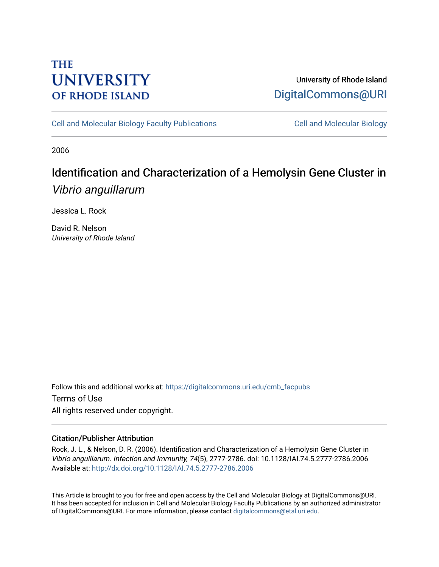## **THE UNIVERSITY OF RHODE ISLAND**

## University of Rhode Island [DigitalCommons@URI](https://digitalcommons.uri.edu/)

[Cell and Molecular Biology Faculty Publications](https://digitalcommons.uri.edu/cmb_facpubs) [Cell and Molecular Biology](https://digitalcommons.uri.edu/cmb) 

2006

# Identification and Characterization of a Hemolysin Gene Cluster in Vibrio anguillarum

Jessica L. Rock

David R. Nelson University of Rhode Island

Follow this and additional works at: [https://digitalcommons.uri.edu/cmb\\_facpubs](https://digitalcommons.uri.edu/cmb_facpubs?utm_source=digitalcommons.uri.edu%2Fcmb_facpubs%2F44&utm_medium=PDF&utm_campaign=PDFCoverPages)  Terms of Use All rights reserved under copyright.

### Citation/Publisher Attribution

Rock, J. L., & Nelson, D. R. (2006). Identification and Characterization of a Hemolysin Gene Cluster in Vibrio anguillarum. Infection and Immunity, 74(5), 2777-2786. doi: 10.1128/IAI.74.5.2777-2786.2006 Available at:<http://dx.doi.org/10.1128/IAI.74.5.2777-2786.2006>

This Article is brought to you for free and open access by the Cell and Molecular Biology at DigitalCommons@URI. It has been accepted for inclusion in Cell and Molecular Biology Faculty Publications by an authorized administrator of DigitalCommons@URI. For more information, please contact [digitalcommons@etal.uri.edu](mailto:digitalcommons@etal.uri.edu).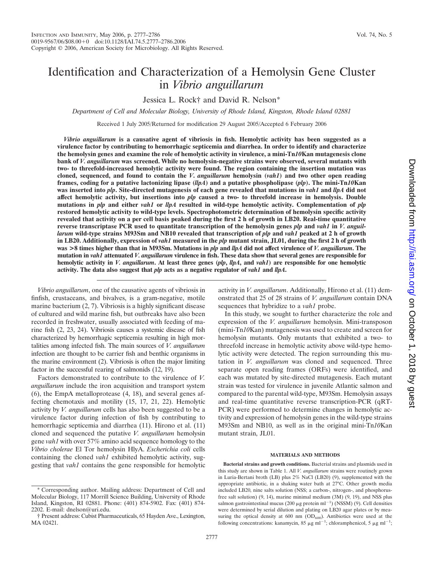### Identification and Characterization of a Hemolysin Gene Cluster in *Vibrio anguillarum*

Jessica L. Rock† and David R. Nelson\*

*Department of Cell and Molecular Biology, University of Rhode Island, Kingston, Rhode Island 02881*

Received 1 July 2005/Returned for modification 29 August 2005/Accepted 6 February 2006

*Vibrio anguillarum* **is a causative agent of vibriosis in fish. Hemolytic activity has been suggested as a virulence factor by contributing to hemorrhagic septicemia and diarrhea. In order to identify and characterize the hemolysin genes and examine the role of hemolytic activity in virulence, a mini-Tn***10***Kan mutagenesis clone bank of** *V. anguillarum* **was screened. While no hemolysin-negative strains were observed, several mutants with two- to threefold-increased hemolytic activity were found. The region containing the insertion mutation was cloned, sequenced, and found to contain the** *V***.** *anguillarum* **hemolysin (***vah1***) and two other open reading frames, coding for a putative lactonizing lipase (***llpA***) and a putative phospholipase (***plp***). The mini-Tn***10***Kan was inserted into** *plp***. Site-directed mutagenesis of each gene revealed that mutations in** *vah1* **and** *llpA* **did not affect hemolytic activity, but insertions into** *plp* **caused a two- to threefold increase in hemolysis. Double mutations in** *plp* **and either** *vah1* **or** *llpA* **resulted in wild-type hemolytic activity. Complementation of** *plp* **restored hemolytic activity to wild-type levels. Spectrophotometric determination of hemolysin specific activity revealed that activity on a per cell basis peaked during the first 2 h of growth in LB20. Real-time quantitative reverse transcriptase PCR used to quantitate transcription of the hemolysin genes** *plp* **and** *vah1* **in** *V. anguillarum* **wild-type strains M93Sm and NB10 revealed that transcription of** *plp* **and** *vah1* **peaked at 2 h of growth in LB20. Additionally, expression of** *vah1* **measured in the** *plp* **mutant strain, JL01, during the first 2 h of growth was >8 times higher than that in M93Sm. Mutations in** *plp* **and** *llpA* **did not affect virulence of** *V. anguillarum***. The mutation in** *vah1* **attenuated** *V. anguillarum* **virulence in fish. These data show that several genes are responsible for hemolytic activity in** *V. anguillarum***. At least three genes (***plp***,** *llpA***, and** *vah1***) are responsible for one hemolytic activity. The data also suggest that** *plp* **acts as a negative regulator of** *vah1* **and** *llpA***.**

*Vibrio anguillarum*, one of the causative agents of vibriosis in finfish, crustaceans, and bivalves, is a gram-negative, motile marine bacterium (2, 7). Vibriosis is a highly significant disease of cultured and wild marine fish, but outbreaks have also been recorded in freshwater, usually associated with feeding of marine fish (2, 23, 24). Vibriosis causes a systemic disease of fish characterized by hemorrhagic septicemia resulting in high mortalities among infected fish. The main sources of *V. anguillarum* infection are thought to be carrier fish and benthic organisms in the marine environment (2). Vibriosis is often the major limiting factor in the successful rearing of salmonids (12, 19).

Factors demonstrated to contribute to the virulence of *V. anguillarum* include the iron acquisition and transport system (6), the EmpA metalloprotease (4, 18), and several genes affecting chemotaxis and motility (15, 17, 21, 22). Hemolytic activity by *V. anguillarum* cells has also been suggested to be a virulence factor during infection of fish by contributing to hemorrhagic septicemia and diarrhea (11). Hirono et al. (11) cloned and sequenced the putative *V. anguillarum* hemolysin gene *vah1* with over 57% amino acid sequence homology to the *Vibrio cholerae* El Tor hemolysin HlyA. *Escherichia coli* cells containing the cloned *vah1* exhibited hemolytic activity, suggesting that *vah1* contains the gene responsible for hemolytic activity in *V. anguillarum*. Additionally, Hirono et al. (11) demonstrated that 25 of 28 strains of *V. anguillarum* contain DNA sequences that hybridize to a *vah1* probe.

In this study, we sought to further characterize the role and expression of the *V. anguillarum* hemolysin. Mini-transposon (mini-Tn*10*Kan) mutagenesis was used to create and screen for hemolysin mutants. Only mutants that exhibited a two- to threefold increase in hemolytic activity above wild-type hemolytic activity were detected. The region surrounding this mutation in *V. anguillarum* was cloned and sequenced. Three separate open reading frames (ORFs) were identified, and each was mutated by site-directed mutagenesis. Each mutant strain was tested for virulence in juvenile Atlantic salmon and compared to the parental wild-type, M93Sm. Hemolysin assays and real-time quantitative reverse transcription-PCR (qRT-PCR) were performed to determine changes in hemolytic activity and expression of hemolysin genes in the wild-type strains M93Sm and NB10, as well as in the original mini-Tn*10*Kan mutant strain, JL01.

#### **MATERIALS AND METHODS**

**Bacterial strains and growth conditions.** Bacterial strains and plasmids used in this study are shown in Table 1. All *V. anguillarum* strains were routinely grown in Luria-Bertani broth (LB) plus 2% NaCl (LB20) (9), supplemented with the appropriate antibiotic, in a shaking water bath at 27°C. Other growth media included LB20, nine salts solution (NSS; a carbon-, nitrogen-, and phosphorusfree salt solution) (9, 14), marine minimal medium (3M) (9, 19), and NSS plus salmon gastrointestinal mucus (200  $\mu$ g protein ml<sup>-1</sup>) (NSSM) (9). Cell densities were determined by serial dilution and plating on LB20 agar plates or by measuring the optical density at 600 nm  $(OD_{600})$ . Antibiotics were used at the following concentrations: kanamycin, 85  $\mu$ g ml<sup>-1</sup>; chloramphenicol, 5  $\mu$ g ml<sup>-1</sup>;

<sup>\*</sup> Corresponding author. Mailing address: Department of Cell and Molecular Biology, 117 Morrill Science Building, University of Rhode Island, Kingston, RI 02881. Phone: (401) 874-5902. Fax: (401) 874- 2202. E-mail: dnelson@uri.edu.

<sup>†</sup> Present address: Cubist Pharmaceuticals, 65 Hayden Ave., Lexington, MA 02421.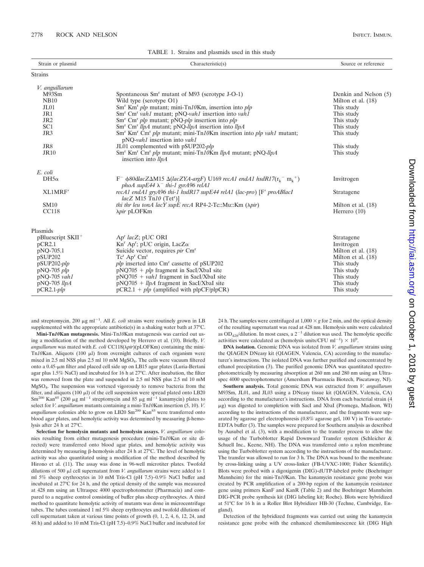| 17 abile 1. Ottains and plasmids ased in this study |                                                                                                                                                                            |                       |  |  |  |
|-----------------------------------------------------|----------------------------------------------------------------------------------------------------------------------------------------------------------------------------|-----------------------|--|--|--|
| Strain or plasmid                                   | Characteristic(s)                                                                                                                                                          | Source or reference   |  |  |  |
| <b>Strains</b>                                      |                                                                                                                                                                            |                       |  |  |  |
| V. anguillarum                                      |                                                                                                                                                                            |                       |  |  |  |
| M93Sm                                               | Spontaneous $Smr$ mutant of M93 (serotype J-O-1)                                                                                                                           | Denkin and Nelson (5) |  |  |  |
| <b>NB10</b>                                         | Wild type (serotype O1)                                                                                                                                                    | Milton et al. $(18)$  |  |  |  |
| JL01                                                | Sm <sup>r</sup> Km <sup>r</sup> plp mutant; mini-Tn10Km, insertion into plp                                                                                                | This study            |  |  |  |
| JR1                                                 | Sm <sup>r</sup> Cm <sup>r</sup> vah1 mutant; pNQ-vah1 insertion into vah1                                                                                                  | This study            |  |  |  |
| JR <sub>2</sub>                                     | $Smr$ Cm <sup>r</sup> plp mutant; pNQ-plp insertion into plp                                                                                                               | This study            |  |  |  |
| SC <sub>1</sub>                                     | $Smr$ Cm <sup>r</sup> <i>llpA</i> mutant; pNQ- <i>llpA</i> insertion into <i>llpA</i>                                                                                      | This study            |  |  |  |
| JR3                                                 | $Smr$ Km <sup>r</sup> Cm <sup>r</sup> plp mutant; mini-Tn10Km insertion into plp vah1 mutant;<br>pNQ-vah1 insertion into vah1                                              | This study            |  |  |  |
| JR8                                                 | JL01 complemented with pSUP202-plp                                                                                                                                         | This study            |  |  |  |
| <b>JR10</b>                                         | Sm <sup>r</sup> Km <sup>r</sup> Cm <sup>r</sup> plp mutant; mini-Tn10Km llpA mutant; pNQ-llpA<br>insertion into <i>llpA</i>                                                | This study            |  |  |  |
| E. coli                                             |                                                                                                                                                                            |                       |  |  |  |
| $DH5\alpha$                                         | $F^ \phi$ 80dlacZ $\Delta$ M15 $\Delta$ (lacZYA-argF) U169 recA1 endA1 hsdR17(r <sub>v</sub> = m <sub>v</sub> <sup>+</sup> )<br>phoA supE44 $\lambda^-$ thi-1 gyrA96 relA1 | Invitrogen            |  |  |  |
| XL1MRF                                              | recA1 endA1 gryA96 thi-1 hsdR17 supE44 relA1 (lac-pro) [F' proABlacI<br>$lacZ$ M15 Tn10 (Tet <sup>r</sup> )]                                                               | Stratagene            |  |  |  |
| <b>SM10</b>                                         | thi thr leu tonA lacY supE recA RP4-2-Tc::Mu::Km $(\lambda pir)$                                                                                                           | Milton et al. $(18)$  |  |  |  |
| <b>CC118</b>                                        | <i>Npir</i> pLOFKm                                                                                                                                                         | Herrero $(10)$        |  |  |  |
| Plasmids                                            |                                                                                                                                                                            |                       |  |  |  |
| $pB$ luescript SKII <sup>+</sup>                    | Ap <sup>r</sup> lacZ; pUC ORI                                                                                                                                              | Stratagene            |  |  |  |
| pCR2.1                                              | $Knr$ Ap <sup>r</sup> ; pUC origin, LacZ $\alpha$                                                                                                                          | Invitrogen            |  |  |  |
| pNQ-705.1                                           | Suicide vector, requires pir Cm <sup>r</sup>                                                                                                                               | Milton et al. (18)    |  |  |  |
| pSUP202                                             | $Tc^{r}$ Ap <sup>r</sup> Cm <sup>r</sup>                                                                                                                                   | Milton et al. (18)    |  |  |  |
| $pSUP202$ - $plp$                                   | <i>plp</i> inserted into Cm <sup>r</sup> cassette of pSUP202                                                                                                               | This study            |  |  |  |
| $pNQ-705$ $plp$                                     | $pNQ705 + plp$ fragment in SacI/XbaI site                                                                                                                                  | This study            |  |  |  |
| $pNQ-705$ vah1                                      | $pNQ705 + vah1$ fragment in SacI/XbaI site                                                                                                                                 | This study            |  |  |  |
| $pNQ-705$ llpA                                      | $pNQ705 + llpA$ fragment in SacI/XbaI site                                                                                                                                 | This study            |  |  |  |
| $pCR2.1$ - $plp$                                    | $pCR2.1 + plp$ (amplified with $plpCF/plpCR$ )                                                                                                                             | This study            |  |  |  |

TABLE 1. Strains and plasmids used in this study

and streptomycin, 200  $\mu$ g ml<sup>-1</sup>. All *E. coli* strains were routinely grown in LB supplemented with the appropriate antibiotic(s) in a shaking water bath at 37°C.

**Mini-Tn***10***Kan mutagenesis.** Mini-Tn*10*Kan mutagenesis was carried out using a modification of the method developed by Herrero et al. (10). Briefly, *V. anguillarum* was mated with *E. coli* CC118( $\lambda$ *pir*)( $p$ LOFKm) containing the mini-Tn*10*Kan. Aliquots (100 µl) from overnight cultures of each organism were mixed in 2.5 ml NSS plus 2.5 ml 10 mM MgSO4. The cells were vacuum filtered onto a 0.45-µm filter and placed cell side up on LB15 agar plates (Luria-Bertani agar plus 1.5% NaCl) and incubated for 16 h at 27°C. After incubation, the filter was removed from the plate and suspended in 2.5 ml NSS plus 2.5 ml 10 mM MgSO4. The suspension was vortexed vigorously to remove bacteria from the filter, and aliquots  $(100 \mu l)$  of the cell suspension were spread plated onto LB20  $\text{Sm}^{200}$  Kan<sup>85</sup> (200 µg ml<sup>-1</sup> streptomycin and 85 µg ml<sup>-1</sup> kanamycin) plates to select for *V. anguillarum* mutants containing a mini-Tn*10*Kan insertion (5, 10). *V.* anguillarum colonies able to grow on LB20 Sm<sup>200</sup> Kan<sup>85</sup> were transferred onto blood agar plates, and hemolytic activity was determined by measuring  $\beta$ -hemolysis after 24 h at 27°C.

**Selection for hemolysin mutants and hemolysin assays.** *V. anguillarum* colonies resulting from either mutagenesis procedure (mini-Tn*10*Kan or site directed) were transferred onto blood agar plates, and hemolytic activity was determined by measuring  $\beta$ -hemolysis after 24 h at 27°C. The level of hemolytic activity was also quantitated using a modification of the method described by Hirono et al. (11). The assay was done in 96-well microtiter plates. Twofold dilutions of 500  $\mu$ l cell supernatant from *V. anguillarum* strains were added to 1 ml 5% sheep erythrocytes in 10 mM Tris-Cl (pH 7.5)–0.9% NaCl buffer and incubated at 27°C for 24 h, and the optical density of the sample was measured at 428 nm using an Ultraspec 4000 spectrophotometer (Pharmacia) and compared to a negative control consisting of buffer plus sheep erythrocytes. A third method to quantitate hemolytic activity of mutants was done in microcentrifuge tubes. The tubes contained 1 ml 5% sheep erythrocytes and twofold dilutions of cell supernatant taken at various time points of growth (0, 1, 2, 4, 6, 12, 24, and 48 h) and added to 10 mM Tris-Cl (pH 7.5)–0.9% NaCl buffer and incubated for 24 h. The samples were centrifuged at  $1,000 \times g$  for 2 min, and the optical density of the resulting supernatant was read at 428 nm. Hemolysis units were calculated as  $OD_{428}/$ dilution. In most cases, a  $2^{-1}$  dilution was used. The hemolytic specific activities were calculated as (hemolysis units/CFU ml<sup>-1</sup>)  $\times$  10<sup>9</sup>.

**DNA isolation.** Genomic DNA was isolated from *V. anguillarum* strains using the QIAGEN DNeasy kit (QIAGEN, Valencia, CA) according to the manufacturer's instructions. The isolated DNA was further purified and concentrated by ethanol precipitation (3). The purified genomic DNA was quantitated spectrophotometrically by measuring absorption at 260 nm and 280 nm using an Ultraspec 4000 spectrophotometer (Amersham Pharmacia Biotech, Piscataway, NJ).

**Southern analysis.** Total genomic DNA was extracted from *V. anguillarum* M93Sm, JL01, and JL03 using a DNeasy tissue kit (QIAGEN, Valencia, CA) according to the manufacturer's instructions. DNA from each bacterial strain (4 -g) was digested to completion with SacI and XbaI (Promega, Madison, WI) according to the instructions of the manufacturer, and the fragments were separated by agarose gel electrophoresis (0.8% agarose gel, 100 V) in Tris-acetate-EDTA buffer (3). The samples were prepared for Southern analysis as described by Ausubel et al. (3), with a modification to the transfer process to allow the usage of the Turboblotter Rapid Downward Transfer system (Schleicher & Schuell Inc., Keene, NH). The DNA was transferred onto a nylon membrane using the Turboblotter system according to the instructions of the manufacturer. The transfer was allowed to run for 3 h. The DNA was bound to the membrane by cross-linking using a UV cross-linker (FB-UVXC-1000; Fisher Scientific). Blots were probed with a digoxigenin (DIG)-dUTP-labeled probe (Boehringer Mannheim) for the mini-Tn*10*Kan. The kanamycin resistance gene probe was created by PCR amplification of a 200-bp region of the kanamycin resistance gene using primers KanF and KanR (Table 2) and the Boehringer Mannheim DIG-PCR probe synthesis kit (DIG labeling kit; Roche). Blots were hybridized at 51°C for 16 h in a Roller Blot Hybridizer HB-30 (Techne, Cambridge, England).

Detection of the hybridized fragments was carried out using the kanamycin resistance gene probe with the enhanced chemiluminescence kit (DIG High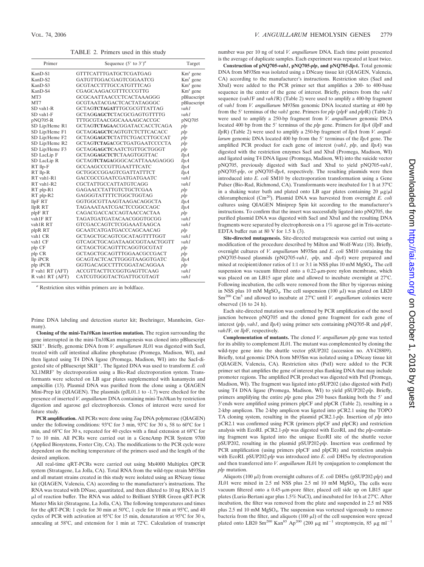TABLE 2. Primers used in this study

| Primer              | Sequence $(5'$ to $3')^a$           | Target      |
|---------------------|-------------------------------------|-------------|
| KanD-S1             | GTTTCATTTGATGCTCGATGAG              | $Kmr$ gene  |
| KanD-S2             | GATGTTGGACGAGTCGGAATCG              | $Kmr$ gene  |
| KanD-S3             | GCGTACCTTTGCCATGTTTCAG              | $Kmr$ gene  |
| KanD-S4             | CGAGCAAGACGTTTCCCGTTG               | $Kmr$ gene  |
| MT3                 | GCGCAATTAACCCTCACTAAAGGG            | pBluescript |
| MT7                 | GCGTAATACGACTCACTATAGGGC            | pBluescript |
| SD vah1-R           | GCTAGTCTAGATTTGCGCGTTATTAG          | vah1        |
| SD vah1-F           | GCTAGGAGCTCTACGCGAGTGTTTTG          | vah1        |
| pNQ705-R            | TTTGCGTAACGGCAAAAGCACCGC            | pNQ705      |
| SD Lip/Heme R1      | <b>GCTAGTCTAGAACGGATACCACCTCAGA</b> | plp         |
| SD Lip/Heme F1      | GCTAGGAGCTCAGTGTCTCTTCACACC         | plp         |
| SD Lip/Heme F2      | GCTAGGAGCTCTATTCTGACCTTGCCAT        | plp         |
| SD Lip/Heme R2      | <b>GCTAGTCTAGACGCTGATGAATCCCCTA</b> | plp         |
| SD Lip/Heme F3      | GCTAGGAGCTCAATCTGTTGCTGGGT          | plp         |
| SD LacLip F         | GCTAGGAGCTCTCTAAGTGGTTAC            | llpA        |
| SD LacLip R         | GCTAGTCTAGAGGGCACATTAAAGAGGG        | llpA        |
| RT llp-F            | <b>GCCAAGCCCGTTGAATTTCATC</b>       | llpA        |
| RT llp-R            | GCTGGCCGGAGTCGATTATTTCT             | llpA        |
| RT vah1-R1          | GACCGCCGAATCGATGATGAATC             | vah1        |
| RT vah1-R2          | CGCTATTGCCATTATGTCAGG               | vah1        |
| RT plp-R1           | GAGAACCTATTGTCTGCTCGAA              | plp         |
| RT plp-R2           | GAGGGTATTTTCTGGCTGGTAG              | plp         |
| llpF RT             | GGTGGCGTTAAGTAAGACAGGCTA            | llpA        |
| llpR RT             | TAGAAATAATCGACTCCGGCCAGC            | llpA        |
| plpF RT             | CAGACGACCACCAGTAACCACTAA            | plp         |
| vah1F <sub>RT</sub> | TAGATGATGATACAACGGGTGCGG            | vah1        |
| vah1R RT            | GTCGACCAGTCTCGGAAATAAGCA            | vah1        |
| plpR RT             | GCAATCATGATGACCCAGCAACAG            | plp         |
| vah1 CR             | GCTAGCTGCAGTCGCATAGTTTTGGT          | vah1        |
| vah1 CF             | GTCAGCTGCAGATAAGCGGTAACTGGTT        | vah1        |
| plp CF              | GCTAGCTGCAGTTTCAGGTGCGTAT           | plp         |
| plp CR              | GCTAGCTGCAGTTTGGAACGCCGACT          | plp         |
| llp iPCR            | GCAGTACTCACTTGGGTAAGGTGATC          | llpA        |
| plp iPCR            | GGTGACAGCCTTTCGGATACAGGAA           | plp         |
| F vah1 RT (AFT)     | <b>ACCGTTACTTCCGGTGAGTTCAAG</b>     | vah1        |
| R vah1 RT (AFT)     | CATCGTGGGTACTGATTGCGTAGT            | vah1        |

*<sup>a</sup>* Restriction sites within primers are in boldface.

Prime DNA labeling and detection starter kit; Boehringer, Mannheim, Germany).

**Cloning of the mini-Tn***10***Kan insertion mutation.** The region surrounding the gene interrupted in the mini-Tn*10*Kan mutagenesis was cloned into pBluescript SKII<sup>+</sup>. Briefly, genomic DNA from *V. anguillarum* JL01 was digested with SacI, treated with calf intestinal alkaline phosphatase (Promega, Madison, WI), and then ligated using T4 DNA ligase (Promega, Madison, WI) into the SacI-digested site of pBluescript SKII<sup>+</sup>. The ligated DNA was used to transform *E. coli* XL1MRF by electroporation using a Bio-Rad electroporation system. Transformants were selected on LB agar plates supplemented with kanamycin and ampicillin (13). Plasmid DNA was purified from the clone using a QIAGEN Mini-Prep kit (QIAGEN). The plasmids (pJL01.1 to -1.7) were checked for the presence of inserted *V. anguillarum* DNA containing mini-Tn*10*kan by restriction digestion and agarose gel electrophoresis. Clones of interest were saved for future study.

**PCR amplification.** All PCRs were done using *Taq* DNA polymerase (QIAGEN) under the following conditions: 93°C for 3 min, 93°C for 30 s, 58 to 60°C for 1 min, and 68°C for 30 s, repeated for 40 cycles with a final extension at 68°C for 7 to 10 min. All PCRs were carried out in a GeneAmp PCR System 9700 (Applied Biosystems, Foster City, CA). The modifications to the PCR cycle were dependent on the melting temperature of the primers used and the length of the desired amplicon.

All real-time qRT-PCRs were carried out using Mx4000 Multiplex QPCR system (Stratagene, La Jolla, CA). Total RNA from the wild-type strain M93Sm and all mutant strains created in this study were isolated using an RNeasy tissue kit (QIAGEN, Valencia, CA) according to the manufacturer's instructions. The RNA was treated with DNase, quantitated, and then diluted to 10 ng RNA in 15 µl of reaction buffer. The RNA was added to Brilliant SYBR Green qRT-PCR Master Mix kit (Stratagene, La Jolla, CA). The following temperatures and times for the qRT-PCR: 1 cycle for 30 min at 50°C, 1 cycle for 10 min at 95°C, and 40 cycles of PCR with activation at 95°C for 15 min, denaturation at 95°C for 30 s, annealing at 58°C, and extension for 1 min at 72°C. Calculation of transcript number was per 10 ng of total *V. anguillarum* DNA. Each time point presented is the average of duplicate samples. Each experiment was repeated at least twice.

**Construction of pNQ705-***vah1***, pNQ705-***plp***, and pNQ705-***llpA***.** Total genomic DNA from M93Sm was isolated using a DNeasy tissue kit (QIAGEN, Valencia, CA) according to the manufacturer's instructions. Restriction sites (SacI and XbaI) were added to the PCR primer set that amplifies a 200- to 400-base sequence in the center of the gene of interest. Briefly, primers from the *vah1* sequence (*vah1*F and *vah1*R) (Table 2) were used to amplify a 400-bp fragment of *vah1* from *V. anguillarum* M93Sm genomic DNA located starting at 400 bp from the 5 terminus of the *vah1* gene. Primers for *plp* (*plp*F and *plp*R) (Table 2) were used to amplify a 250-bp fragment from *V. anguillarum* genomic DNA located 400 bp from the 5' terminus of the *plp* gene. Primers for *llpA* (*llpF* and *llp*R) (Table 2) were used to amplify a 250-bp fragment of *llpA* from *V. anguillarum* genomic DNA located 400 bp from the 5 terminus of the *llpA* gene. The amplified PCR product for each gene of interest (*vah1*, *plp*, and *llpA*) was digested with the restriction enzymes SacI and XbaI (Promega, Madison, WI) and ligated using T4 DNA ligase (Promega, Madison, WI) into the suicide vector pNQ705, previously digested with SacI and XbaI to yield pNQ705-*vah1*, pNQ705-*plp*, or pNQ705-*llpA*, respectively. The resulting plasmids were then introduced into *E. coli* SM10 by electroporation transformation using a Gene Pulser (Bio-Rad, Richmond, CA). Transformants were incubated for 1 h at 37°C in a shaking water bath and plated onto LB agar plates containing 20  $\mu$ g/ $\mu$ l chloramphenicol (Cm20). Plasmid DNA was harvested from overnight *E. coli* cultures using QIAGEN Miniprep Spin kit according to the manufacturer's instructions. To confirm that the insert was successfully ligated into pNQ705, the purified plasmid DNA was digested with SacI and XbaI and the resulting DNA fragments were separated by electrophoresis on a 1% agarose gel in Tris-acetate-EDTA buffer run at 80 V for 1.5 h (3).

**Site-directed mutagenesis.** Site-directed mutagenesis was carried out using a modification of the procedure described by Milton and Wolf-Watz (18). Briefly, overnight cultures of *V. anguillarum* M93Sm and *E. coli* SM10 containing the pNQ705-based plasmids (pNQ705-*vah1*, -*plp*, and *-llpA*) were prepared and mixed at recipient/donor ratios of 1:1 or 3:1 in NSS plus 10 mM MgSO4. The cell suspension was vacuum filtered onto a  $0.22$ - $\mu$ m-pore nylon membrane, which was placed on an LB15 agar plate and allowed to incubate overnight at 27°C. Following incubation, the cells were removed from the filter by vigorous mixing in NSS plus 10 mM  $MgSO_4$ . The cell suspension (100  $\mu$ l) was plated on LB20 Sm<sup>200</sup> Cm<sup>5</sup> and allowed to incubate at 27°C until *V. anguillarum* colonies were observed (16 to 24 h).

Each site-directed mutation was confirmed by PCR amplification of the novel junction between pNQ705 and the cloned gene fragment for each gene of interest (*plp*, *vah1*, and *llpA*) using primer sets containing pNQ705-R and *plp*F, *vah1*F, or *llp*F, respectively.

**Complementation of mutants.** The cloned *V. anguillarum plp* gene was tested for its ability to complement JL01. The mutant was complemented by cloning the wild-type gene into the shuttle vector pSUP202 (accession no. AY428809). Briefly, total genomic DNA from M93Sm was isolated using a DNeasy tissue kit (QIAGEN, Valencia, CA). Restriction sites (PstI) were added to the PCR primer set that amplifies the gene of interest plus flanking DNA that may include promoter regions. The amplified PCR product was digested with PstI (Promega, Madison, WI). The fragment was ligated into pSUP202 (also digested with PstI) using T4 DNA ligase (Promega, Madison, WI) to yield pSUP202-*plp*. Briefly, primers amplifying the entire *plp* gene plus 250 bases flanking both the 5' and 3 ends were amplified using primers plpCF and plpCR (Table 2), resulting in a 2-kbp amplicon. The 2-kbp amplicon was ligated into pCR2.1 using the TOPO TA cloning system, resulting in the plasmid pCR2.1-*plp*. Insertion of *plp* into pCR2.1 was confirmed using PCR (primers plpCF and plpCR) and restriction analysis with EcoRI. pCR2.1-*plp* was digested with EcoRI, and the *plp*-containing fragment was ligated into the unique EcoRI site of the shuttle vector pSUP202, resulting in the plasmid pSUP202-*plp*. Insertion was confirmed by PCR amplification (using primers plpCF and plpCR) and restriction analysis with EcoRI. pSUP202- $plp$  was introduced into  $E$ . coli DH5 $\alpha$  by electroporation and then transferred into *V. anguillarum* JL01 by conjugation to complement the *plp* mutation.

Aliquots (100  $\mu$ l) from overnight cultures of *E. coli* DH5 $\alpha$  (pSUP202-*plp*) and JL01 were mixed in 2.5 ml NSS plus 2.5 ml 10 mM MgSO<sub>4</sub>. The cells were vacuum filtered onto a 0.45-µm-pore filter, placed cell side up on LB15 agar plates (Luria-Bertani agar plus 1.5% NaCl), and incubated for 16 h at 27°C. After incubation, the filter was removed from the plate and suspended in 2.5 ml NSS plus  $2.5$  ml 10 mM MgSO<sub>4</sub>. The suspension was vortexed vigorously to remove bacteria from the filter, and aliquots  $(100 \mu l)$  of the cell suspension were spread plated onto LB20 Sm<sup>200</sup> Kan<sup>85</sup> Ap<sup>200</sup> (200  $\mu$ g ml<sup>-1</sup> streptomycin, 85  $\mu$ g ml<sup>-1</sup>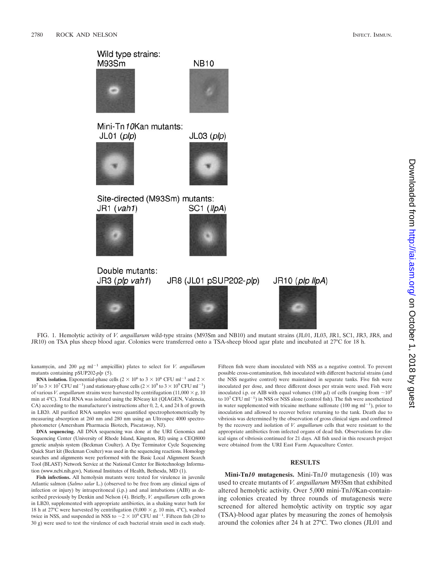Wild type strains: M93Sm





Mini-Tn10Kan mutants:





Site-directed (M93Sm) mutants:  $JRI (vah1)$ 





Double mutants: JR3 (plp vah1)







FIG. 1. Hemolytic activity of *V. anguillarum* wild-type strains (M93Sm and NB10) and mutant strains (JL01, JL03, JR1, SC1, JR3, JR8, and JR10) on TSA plus sheep blood agar. Colonies were transferred onto a TSA-sheep blood agar plate and incubated at 27°C for 18 h.

kanamycin, and 200  $\mu$ g ml<sup>-1</sup> ampicillin) plates to select for *V. anguillarum* mutants containing pSUP202-*plp* (5).

**RNA isolation.** Exponential-phase cells (2  $\times$  10<sup>6</sup> to 3  $\times$  10<sup>6</sup> CFU ml<sup>-1</sup> and 2  $\times$  $10^7$  to  $3 \times 10^7$  CFU ml<sup>-1</sup>) and stationary-phase cells  $(2 \times 10^9$  to  $3 \times 10^9$  CFU ml<sup>-1</sup>) of various *V. anguillarum* strains were harvested by centrifugation  $(11,000 \times g, 10)$ min at 4°C). Total RNA was isolated using the RNeasy kit (QIAGEN, Valencia, CA) according to the manufacturer's instructions after 0, 2, 4, and 24 h of growth in LB20. All purified RNA samples were quantified spectrophotometrically by measuring absorption at 260 nm and 280 nm using an Ultrospec 4000 spectrophotometer (Amersham Pharmacia Biotech, Piscataway, NJ).

**DNA sequencing.** All DNA sequencing was done at the URI Genomics and Sequencing Center (University of Rhode Island, Kingston, RI) using a CEQ8000 genetic analysis system (Beckman Coulter). A Dye Terminator Cycle Sequencing Quick Start kit (Beckman Coulter) was used in the sequencing reactions. Homology searches and alignments were performed with the Basic Local Alignment Search Tool (BLAST) Network Service at the National Center for Biotechnology Information (www.ncbi.nih.gov), National Institutes of Health, Bethesda, MD (1).

**Fish infections.** All hemolysin mutants were tested for virulence in juvenile Atlantic salmon (*Salmo salar* L.) (observed to be free from any clinical signs of infection or injury) by intraperitoneal (i.p.) and anal intubations (AIB) as described previously by Denkin and Nelson (4). Briefly, *V. anguillarum* cells grown in LB20, supplemented with appropriate antibiotics, in a shaking water bath for 18 h at 27°C were harvested by centrifugation  $(9,000 \times g, 10 \text{ min}, 4^{\circ}\text{C})$ , washed twice in NSS, and suspended in NSS to  $\sim$  2  $\times$  10<sup>9</sup> CFU ml<sup>-1</sup>. Fifteen fish (20 to 30 g) were used to test the virulence of each bacterial strain used in each study. Fifteen fish were sham inoculated with NSS as a negative control. To prevent possible cross-contamination, fish inoculated with different bacterial strains (and the NSS negative control) were maintained in separate tanks. Five fish were inoculated per dose, and three different doses per strain were used. Fish were inoculated i.p. or AIB with equal volumes (100  $\mu$ l) of cells (ranging from  $\sim$ 10<sup>5</sup> to  $10^7$  CFU ml<sup>-1</sup>) in NSS or NSS alone (control fish). The fish were anesthetized in water supplemented with tricaine methane sulfonate  $(100 \text{ mg ml}^{-1})$ , prior to inoculation and allowed to recover before returning to the tank. Death due to vibriosis was determined by the observation of gross clinical signs and confirmed by the recovery and isolation of *V. anguillarum* cells that were resistant to the appropriate antibiotics from infected organs of dead fish. Observations for clinical signs of vibriosis continued for 21 days. All fish used in this research project were obtained from the URI East Farm Aquaculture Center.

#### **RESULTS**

**Mini-Tn***10* **mutagenesis.** Mini-Tn*10* mutagenesis (10) was used to create mutants of *V. anguillarum* M93Sm that exhibited altered hemolytic activity. Over 5,000 mini-Tn*10*Kan-containing colonies created by three rounds of mutagenesis were screened for altered hemolytic activity on tryptic soy agar (TSA)-blood agar plates by measuring the zones of hemolysis around the colonies after 24 h at 27°C. Two clones (JL01 and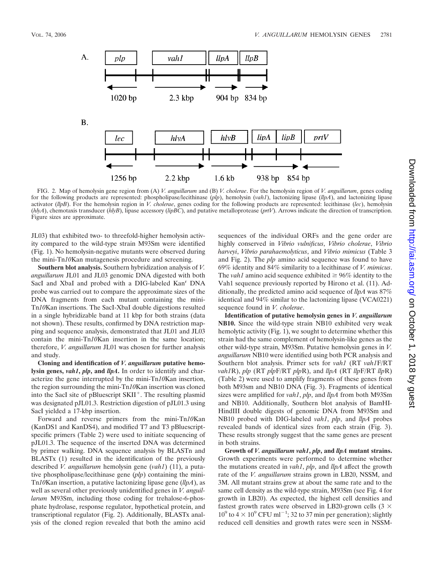

FIG. 2. Map of hemolysin gene region from (A) *V. anguillarum* and (B) *V. cholerae*. For the hemolysin region of *V. anguillarum*, genes coding for the following products are represented: phospholipase/lecithinase (*plp*), hemolysin (*vah1*), lactonizing lipase (*llpA*), and lactonizing lipase activator (*llpB*). For the hemolysin region in *V. cholerae*, genes coding for the following products are represented: lecithinase (*lec*), hemolysin (*hlyA*), chemotaxis transducer (*hlyB*), lipase accessory (*lipBC*), and putative metalloprotease (*prtV*). Arrows indicate the direction of transcription. Figure sizes are approximate.

JL03) that exhibited two- to threefold-higher hemolysin activity compared to the wild-type strain M93Sm were identified (Fig. 1). No hemolysin-negative mutants were observed during the mini-Tn*10*Kan mutagenesis procedure and screening.

**Southern blot analysis.** Southern hybridization analysis of *V. anguillarum* JL01 and JL03 genomic DNA digested with both SacI and XbaI and probed with a DIG-labeled Kan<sup>r</sup> DNA probe was carried out to compare the approximate sizes of the DNA fragments from each mutant containing the mini-Tn*10*Kan insertions. The SacI-XbaI double digestions resulted in a single hybridizable band at 11 kbp for both strains (data not shown). These results, confirmed by DNA restriction mapping and sequence analysis, demonstrated that JL01 and JL03 contain the mini-Tn*10*Kan insertion in the same location; therefore, *V. anguillarum* JL01 was chosen for further analysis and study.

**Cloning and identification of** *V. anguillarum* **putative hemolysin genes,** *vah1***,** *plp***, and** *llpA***.** In order to identify and characterize the gene interrupted by the mini-Tn*10*Kan insertion, the region surrounding the mini-Tn*10*Kan insertion was cloned into the SacI site of pBluescript  $SKII^+$ . The resulting plasmid was designated pJL01.3. Restriction digestion of pJL01.3 using SacI yielded a 17-kbp insertion.

Forward and reverse primers from the mini-Tn*10*Kan (KanDS1 and KanDS4), and modified T7 and T3 pBluescriptspecific primers (Table 2) were used to initiate sequencing of pJL01.3. The sequence of the inserted DNA was determined by primer walking. DNA sequence analysis by BLASTn and BLASTx (1) resulted in the identification of the previously described *V. anguillarum* hemolysin gene (*vah1*) (11), a putative phospholipase/lecithinase gene (*plp*) containing the mini-Tn*10*Kan insertion, a putative lactonizing lipase gene (*llpA*), as well as several other previously unidentified genes in *V. anguillarum* M93Sm, including those coding for trehalose-6-phosphate hydrolase, response regulator, hypothetical protein, and transcriptional regulator (Fig. 2). Additionally, BLASTx analysis of the cloned region revealed that both the amino acid

sequences of the individual ORFs and the gene order are highly conserved in *Vibrio vulnificus*, *Vibrio cholerae*, *Vibrio harveyi*, *Vibrio parahaemolyticus*, and *Vibrio mimicus* (Table 3 and Fig. 2). The *plp* amino acid sequence was found to have 69% identity and 84% similarity to a lecithinase of *V. mimicus*. The *vah1* amino acid sequence exhibited  $\geq 96\%$  identity to the Vah1 sequence previously reported by Hirono et al. (11). Additionally, the predicted amino acid sequence of *llpA* was 87% identical and 94% similar to the lactonizing lipase (VCA0221) sequence found in *V. cholerae*.

**Identification of putative hemolysin genes in** *V. anguillarum* **NB10.** Since the wild-type strain NB10 exhibited very weak hemolytic activity (Fig. 1), we sought to determine whether this strain had the same complement of hemolysin-like genes as the other wild-type strain, M93Sm. Putative hemolysin genes in *V. anguillarum* NB10 were identified using both PCR analysis and Southern blot analysis. Primer sets for *vah1* (RT *vah1*F/RT *vah1*R), *plp* (RT *plp*F/RT *plp*R), and *llpA* (RT *llp*F/RT *llp*R) (Table 2) were used to amplify fragments of these genes from both M93sm and NB10 DNA (Fig. 3). Fragments of identical sizes were amplified for *vah1*, *plp*, and *llpA* from both M93Sm and NB10. Additionally, Southern blot analysis of BamHI*-*HindIII double digests of genomic DNA from M93Sm and NB10 probed with DIG-labeled *vah1*, *plp*, and *llpA* probes revealed bands of identical sizes from each strain (Fig. 3). These results strongly suggest that the same genes are present in both strains.

**Growth of** *V. anguillarum vah1***,** *plp***, and** *llpA* **mutant strains.** Growth experiments were performed to determine whether the mutations created in *vah1*, *plp*, and *llpA* affect the growth rate of the *V. anguillarum* strains grown in LB20, NSSM, and 3M. All mutant strains grew at about the same rate and to the same cell density as the wild-type strain, M93Sm (see Fig. 4 for growth in LB20). As expected, the highest cell densities and fastest growth rates were observed in LB20-grown cells  $(3 \times$  $10^9$  to  $4 \times 10^9$  CFU ml<sup>-1</sup>; 32 to 37 min per generation); slightly reduced cell densities and growth rates were seen in NSSM-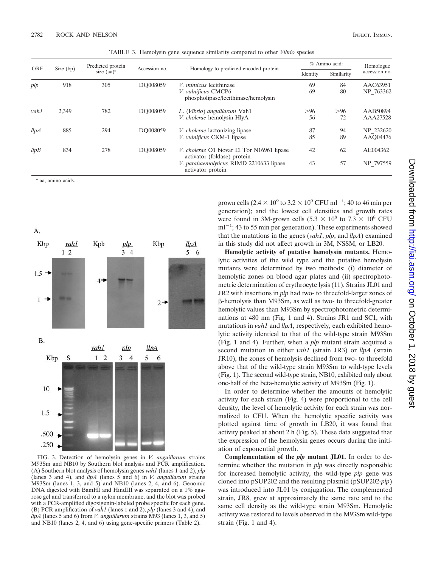| <b>ORF</b> | Size (bp) | Predicted protein<br>size $(aa)^a$ | Accession no. |                                                                                             | % Amino acid: |            | Homologue             |
|------------|-----------|------------------------------------|---------------|---------------------------------------------------------------------------------------------|---------------|------------|-----------------------|
|            |           |                                    |               | Homology to predicted encoded protein                                                       | Identity      | Similarity | accession no.         |
| plp        | 918       | 305                                | DO008059      | <i>V. mimicus</i> lecithinase<br>V. vulnificus CMCP6<br>phospholipase/lecithinase/hemolysin | 69<br>69      | 84<br>80   | AAC63951<br>NP 763362 |
| vah1       | 2,349     | 782                                | DO008059      | L. (Vibrio) anguillarum Vah1<br>V. cholerae hemolysin HlyA                                  | >96<br>56     | >96<br>72  | AAB50894<br>AAA27528  |
| llpA       | 885       | 294                                | DO008059      | <i>V. cholerae</i> lactonizing lipase<br><i>V. vulnificus</i> CKM-1 lipase                  | 87<br>85      | 94<br>89   | NP 232620<br>AAO04476 |
| llpB       | 834       | 278                                | DO008059      | <i>V. cholerae</i> O1 biovar El Tor N16961 lipase<br>activator (foldase) protein            | 42            | 62         | AE004362              |
|            |           |                                    |               | V. parahaemolyticus RIMD 2210633 lipase<br>activator protein                                | 43            | 57         | NP 797559             |

TABLE 3. Hemolysin gene sequence similarity compared to other *Vibrio* species

*<sup>a</sup>* aa, amino acids.





FIG. 3. Detection of hemolysin genes in *V. anguillarum* strains M93Sm and NB10 by Southern blot analysis and PCR amplification. (A) Southern blot analysis of hemolysin genes *vah1* (lanes 1 and 2), *plp* (lanes 3 and 4), and *llpA* (lanes 5 and 6) in *V. anguillarum* strains M93Sm (lanes 1, 3, and 5) and NB10 (lanes 2, 4, and 6). Genomic DNA digested with BamHI and HindIII was separated on a 1% agarose gel and transferred to a nylon membrane, and the blot was probed with a PCR-amplified digoxigenin-labeled probe specific for each gene. (B) PCR amplification of *vah1* (lanes 1 and 2), *plp* (lanes 3 and 4), and *llpA* (lanes 5 and 6) from *V. anguillarum* strains M93 (lanes 1, 3, and 5) and NB10 (lanes 2, 4, and 6) using gene-specific primers (Table 2).

grown cells  $(2.4 \times 10^9 \text{ to } 3.2 \times 10^9 \text{ CFU ml}^{-1}$ ; 40 to 46 min per generation); and the lowest cell densities and growth rates were found in 3M-grown cells (5.3  $\times$  10<sup>8</sup> to 7.3  $\times$  10<sup>8</sup> CFU  $ml^{-1}$ ; 43 to 55 min per generation). These experiments showed that the mutations in the genes (*vah1*, *plp*, and *llpA*) examined in this study did not affect growth in 3M, NSSM, or LB20.

**Hemolytic activity of putative hemolysin mutants.** Hemolytic activities of the wild type and the putative hemolysin mutants were determined by two methods: (i) diameter of hemolytic zones on blood agar plates and (ii) spectrophotometric determination of erythrocyte lysis (11). Strains JL01 and JR2 with insertions in *plp* had two- to threefold-larger zones of -hemolysis than M93Sm, as well as two- to threefold-greater hemolytic values than M93Sm by spectrophotometric determinations at 480 nm (Fig. 1 and 4). Strains JR1 and SC1, with mutations in *vah1* and *llpA*, respectively, each exhibited hemolytic activity identical to that of the wild-type strain M93Sm (Fig. 1 and 4). Further, when a *plp* mutant strain acquired a second mutation in either *vah1* (strain JR3) or *llpA* (strain JR10), the zones of hemolysis declined from two- to threefold above that of the wild-type strain M93Sm to wild-type levels (Fig. 1). The second wild-type strain, NB10, exhibited only about one-half of the beta-hemolytic activity of M93Sm (Fig. 1).

In order to determine whether the amounts of hemolytic activity for each strain (Fig. 4) were proportional to the cell density, the level of hemolytic activity for each strain was normalized to CFU. When the hemolytic specific activity was plotted against time of growth in LB20, it was found that activity peaked at about 2 h (Fig. 5). These data suggested that the expression of the hemolysin genes occurs during the initiation of exponential growth.

**Complementation of the** *plp* **mutant JL01.** In order to determine whether the mutation in *plp* was directly responsible for increased hemolytic activity, the wild-type *plp* gene was cloned into pSUP202 and the resulting plasmid (pSUP202-*plp*) was introduced into JL01 by conjugation. The complemented strain, JR8, grew at approximately the same rate and to the same cell density as the wild-type strain M93Sm. Hemolytic activity was restored to levels observed in the M93Sm wild-type strain (Fig. 1 and 4).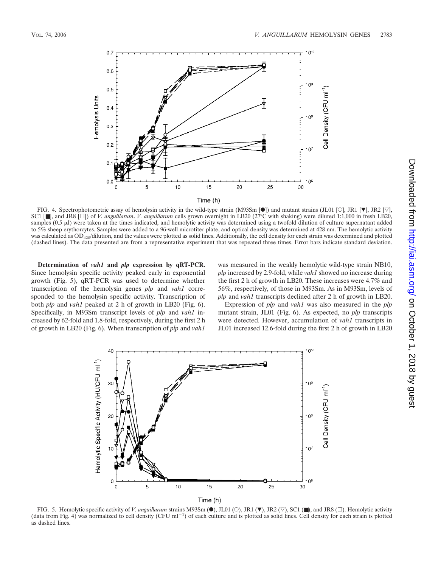

FIG. 4. Spectrophotometric assay of hemolysin activity in the wild-type strain (M93Sm  $[\bullet]$ ) and mutant strains (JL01 [O], JR1  $[\mathbf{\nabla}]$ , JR2  $[\nabla]$ , SC1 [■], and JR8 []) of *V. anguillarum*. *V. anguillarum* cells grown overnight in LB20 (27°C with shaking) were diluted 1:1,000 in fresh LB20, samples  $(0.5 \mu)$  were taken at the times indicated, and hemolytic activity was determined using a twofold dilution of culture supernatant added to 5% sheep erythorcytes. Samples were added to a 96-well microtiter plate, and optical density was determined at 428 nm. The hemolytic activity was calculated as  $OD_{428}/$ dilution, and the values were plotted as solid lines. Additionally, the cell density for each strain was determined and plotted (dashed lines). The data presented are from a representative experiment that was repeated three times. Error bars indicate standard deviation.

**Determination of** *vah1* **and** *plp* **expression by qRT-PCR.** Since hemolysin specific activity peaked early in exponential growth (Fig. 5), qRT-PCR was used to determine whether transcription of the hemolysin genes *plp* and *vah1* corresponded to the hemolysin specific activity. Transcription of both *plp* and *vah1* peaked at 2 h of growth in LB20 (Fig. 6). Specifically, in M93Sm transcript levels of *plp* and *vah1* increased by 62-fold and 1.8-fold, respectively, during the first 2 h of growth in LB20 (Fig. 6). When transcription of *plp* and *vah1*

was measured in the weakly hemolytic wild-type strain NB10, *plp* increased by 2.9-fold, while *vah1* showed no increase during the first 2 h of growth in LB20. These increases were 4.7% and 56%, respectively, of those in M93Sm. As in M93Sm, levels of *plp* and *vah1* transcripts declined after 2 h of growth in LB20.

Expression of *plp* and *vah1* was also measured in the *plp* mutant strain, JL01 (Fig. 6). As expected, no *plp* transcripts were detected. However, accumulation of *vah1* transcripts in JL01 increased 12.6-fold during the first 2 h of growth in LB20



FIG. 5. Hemolytic specific activity of *V. anguillarum* strains M93Sm (●), JL01 (○), JR1 (▼), JR2 (▽), SC1 (■), and JR8 (□). Hemolytic activity (data from Fig. 4) was normalized to cell density (CFU m $1^{-1}$ ) of each culture and is plotted as solid lines. Cell density for each strain is plotted as dashed lines.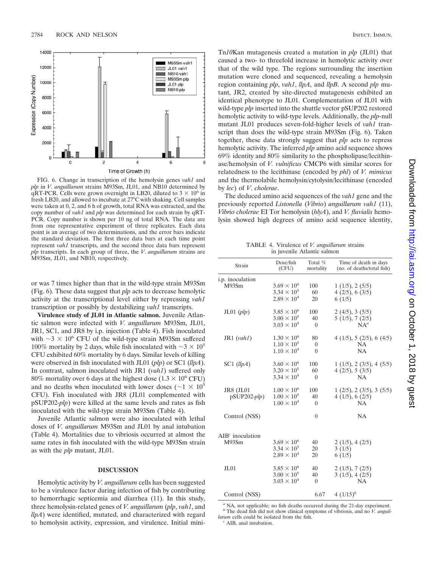

FIG. 6. Change in transcription of the hemolysin genes *vah1* and *plp* in *V*. *anguillarum* strains M93Sm, JL01, and NB10 determined by qRT-PCR. Cells were grown overnight in LB20, diluted to  $3 \times 10^6$  in fresh LB20, and allowed to incubate at 27°C with shaking. Cell samples were taken at 0, 2, and 6 h of growth, total RNA was extracted, and the copy number of *vah1* and *plp* was determined for each strain by qRT-PCR. Copy number is shown per 10 ng of total RNA. The data are from one representative experiment of three replicates. Each data point is an average of two determinations, and the error bars indicate the standard deviation. The first three data bars at each time point represent *vah1* transcripts, and the second three data bars represent *plp* transcripts. In each group of three, the *V*. *anguillarum* strains are M93Sm, JL01, and NB10, respectively.

or was 7 times higher than that in the wild-type strain M93Sm (Fig. 6). These data suggest that *plp* acts to decrease hemolytic activity at the transcriptional level either by repressing *vah1* transcription or possibly by destabilizing *vah1* transcripts.

**Virulence study of JL01 in Atlantic salmon.** Juvenile Atlantic salmon were infected with *V. anguillarum* M93Sm, JL01, JR1, SC1, and JR8 by i.p. injection (Table 4). Fish inoculated with  $\sim$ 3  $\times$  10<sup>6</sup> CFU of the wild-type strain M93Sm suffered 100% mortality by 2 days, while fish inoculated with  $\sim$  3  $\times$  10<sup>5</sup> CFU exhibited 60% mortality by 6 days. Similar levels of killing were observed in fish inoculated with JL01 (*plp*) or SC1 (*llpA*). In contrast, salmon inoculated with JR1 (*vah1*) suffered only 80% mortality over 6 days at the highest dose  $(1.3 \times 10^6 \text{ CFU})$ and no deaths when inoculated with lower doses ( $\sim$ 1  $\times$  10<sup>5</sup>) CFU). Fish inoculated with JR8 (JL01 complemented with pSUP202-*plp*) were killed at the same levels and rates as fish inoculated with the wild-type strain M93Sm (Table 4).

Juvenile Atlantic salmon were also inoculated with lethal doses of *V. anguillarum* M93Sm and JL01 by anal intubation (Table 4). Mortalities due to vibriosis occurred at almost the same rates in fish inoculated with the wild-type M93Sm strain as with the *plp* mutant, JL01.

#### **DISCUSSION**

Hemolytic activity by *V. anguillarum* cells has been suggested to be a virulence factor during infection of fish by contributing to hemorrhagic septicemia and diarrhea (11). In this study, three hemolysin-related genes of *V. anguillarum* (*plp*, *vah1*, and *llpA*) were identified, mutated, and characterized with regard to hemolysin activity, expression, and virulence. Initial mini-

Tn*10*Kan mutagenesis created a mutation in *plp* (JL01) that caused a two- to threefold increase in hemolytic activity over that of the wild type. The regions surrounding the insertion mutation were cloned and sequenced, revealing a hemolysin region containing *plp*, *vah1*, *llpA*, and *llpB*. A second *plp* mutant, JR2, created by site-directed mutagenesis exhibited an identical phenotype to JL01. Complementation of JL01 with wild-type *plp* inserted into the shuttle vector pSUP202 restored hemolytic activity to wild-type levels. Additionally, the *plp*-null mutant JL01 produces seven-fold-higher levels of *vah1* transcript than does the wild-type strain M93Sm (Fig. 6). Taken together, these data strongly suggest that *plp* acts to repress hemolytic activity. The inferred *plp* amino acid sequence shows 69% identity and 80% similarity to the phospholipase/lecithinase/hemolysin of *V. vulnificus* CMCP6 with similar scores for relatedness to the lecithinase (encoded by *phl*) of *V. mimicus* and the thermolabile hemolysin/cytolysin/lecithinase (encoded by *lec*) of *V*. *cholerae*.

The deduced amino acid sequences of the *vah1* gene and the previously reported *Listonella* (*Vibrio*) *anguillarum vah1* (11), *Vibrio cholerae* EI Tor hemolysin (*hlyA*), and *V. fluvialis* hemolysin showed high degrees of amino acid sequence identity,

TABLE 4. Virulence of *V. anguillarum* strains in juvenile Atlantic salmon

| Strain                               | Dose/fish                                                            | Total %                   | Time of death in days                                 |
|--------------------------------------|----------------------------------------------------------------------|---------------------------|-------------------------------------------------------|
|                                      | (CFU)                                                                | mortality                 | (no. of deaths/total fish)                            |
| i.p. inoculation<br>M93Sm            | $3.69 \times 10^{6}$<br>$3.34 \times 10^{5}$<br>$2.89 \times 10^{4}$ | 100<br>60<br>20           | 1(1/5), 2(5/5)<br>4(2/5), 6(3/5)<br>6(1/5)            |
| $JL01$ (plp)                         | $3.85 \times 10^{6}$                                                 | 100                       | 2(4/5), 3(5/5)                                        |
|                                      | $3.00 \times 10^{5}$                                                 | 40                        | 5(1/5), 7(2/5)                                        |
|                                      | $3.03 \times 10^{4}$                                                 | $\theta$                  | $NA^a$                                                |
| $JR1$ ( <i>vah1</i> )                | $1.30 \times 10^6$                                                   | 80                        | $4$ (1/5), 5 (2/5), 6 (4/5)                           |
|                                      | $1.10 \times 10^{5}$                                                 | $\mathbf{0}$              | <b>NA</b>                                             |
|                                      | $1.10 \times 10^{4}$                                                 | $\theta$                  | <b>NA</b>                                             |
| $SC1$ (llpA)                         | $3.60 \times 10^{6}$                                                 | 100                       | 1(1/5), 2(3/5), 4(5/5)                                |
|                                      | $3.20 \times 10^{5}$                                                 | 60                        | 4(2/5), 5(3/5)                                        |
|                                      | $3.34 \times 10^{4}$                                                 | $\theta$                  | <b>NA</b>                                             |
| <b>JR8</b> (JL01<br>$pSUP202\n-plp)$ | $1.00 \times 10^{6}$<br>$1.00 \times 10^{5}$<br>$1.00 \times 10^{4}$ | 100<br>40<br>$\mathbf{0}$ | 1(2/5), 2(3/5), 3(5/5)<br>4(1/5), 6(2/5)<br><b>NA</b> |
| Control (NSS)                        |                                                                      | $\theta$                  | <b>NA</b>                                             |
| $AIBc$ inoculation<br>M93Sm          | $3.69 \times 10^{6}$<br>$3.34 \times 10^{5}$<br>$2.89 \times 10^{4}$ | 40<br>20<br>20            | 2(1/5), 4(2/5)<br>3(1/5)<br>6(1/5)                    |
| JLO1                                 | $3.85 \times 10^{6}$                                                 | 40                        | 2(1/5), 7(2/5)                                        |
|                                      | $3.00 \times 10^{5}$                                                 | 40                        | 3(1/5), 4(2/5)                                        |
|                                      | $3.03 \times 10^{4}$                                                 | $\mathbf{0}$              | NA                                                    |
| Control (NSS)                        |                                                                      | 6.67                      | 4 $(1/15)^b$                                          |

<sup>&</sup>lt;sup>*A*</sup> NA, not applicable; no fish deaths occurred during the 21-day experiment. *<sup>b</sup>* The dead fish did not show clinical symptoms of vibriosis, and no *V. anguillarum* cells could be isolated from the fish. *<sup>c</sup>* AIB, anal intubation.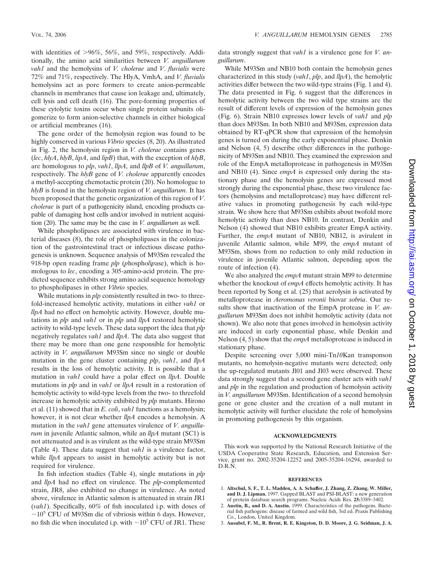with identities of  $>96\%$ , 56%, and 59%, respectively. Additionally, the amino acid similarities between *V. anguillarum vah1* and the hemolysins of *V. cholerae* and *V*. *fluvialis* were 72% and 71%, respectively. The HlyA, VmhA, and *V. fluvialis* hemolysins act as pore formers to create anion-permeable channels in membranes that cause ion leakage and, ultimately, cell lysis and cell death (16). The pore-forming properties of these cytolytic toxins occur when single protein subunits oligomerize to form anion-selective channels in either biological or artificial membranes (16).

The gene order of the hemolysin region was found to be highly conserved in various *Vibrio* species (8, 20). As illustrated in Fig. 2, the hemolysin region in *V. cholerae* contains genes (*lec*, *hlyA*, *hlyB*, *lipA*, and *lipB*) that, with the exception of *hlyB*, are homologous to *plp*, *vah1*, *llpA*, and *llpB* of *V. anguillarum*, respectively. The *hlyB* gene of *V. cholerae* apparently encodes a methyl-accepting chemotactic protein (20). No homologue to *hlyB* is found in the hemolysin region of *V. anguillarum*. It has been proposed that the genetic organization of this region of *V*. *cholerae* is part of a pathogenicity island, encoding products capable of damaging host cells and/or involved in nutrient acquisition (20). The same may be the case in *V. anguillarum* as well.

While phospholipases are associated with virulence in bacterial diseases (8), the role of phospholipases in the colonization of the gastrointestinal tract or infectious disease pathogenesis is unknown. Sequence analysis of M93Sm revealed the 918-bp open reading frame *plp* (*p*hospho*l*i*p*ase), which is homologous to *lec*, encoding a 305-amino-acid protein. The predicted sequence exhibits strong amino acid sequence homology to phospholipases in other *Vibrio* species.

While mutations in *plp* consistently resulted in two- to threefold-increased hemolytic activity, mutations in either *vah1* or *llpA* had no effect on hemolytic activity. However, double mutations in *plp* and *vah1* or in *plp* and *llpA* restored hemolytic activity to wild-type levels. These data support the idea that *plp* negatively regulates *vah1* and *llpA*. The data also suggest that there may be more than one gene responsible for hemolytic activity in *V. anguillarum* M93Sm since no single or double mutation in the gene cluster containing *plp*, *vah1*, and *llpA* results in the loss of hemolytic activity. It is possible that a mutation in *vah1* could have a polar effect on *llpA*. Double mutations in *plp* and in *vah1* or *llpA* result in a restoration of hemolytic activity to wild-type levels from the two- to threefold increase in hemolytic activity exhibited by *plp* mutants. Hirono et al. (11) showed that in *E. coli*, *vah1* functions as a hemolysin; however, it is not clear whether *llpA* encodes a hemolysin. A mutation in the *vah1* gene attenuates virulence of *V. anguillarum* in juvenile Atlantic salmon, while an *llpA* mutant (SC1) is not attenuated and is as virulent as the wild-type strain M93Sm (Table 4). These data suggest that *vah1* is a virulence factor, while *llpA* appears to assist in hemolytic activity but is not required for virulence.

In fish infection studies (Table 4), single mutations in *plp* and *llpA* had no effect on virulence. The *plp*-complemented strain, JR8, also exhibited no change in virulence. As noted above, virulence in Atlantic salmon is attenuated in strain JR1 (*vah1*). Specifically, 60% of fish inoculated i.p. with doses of  $\sim$ 10<sup>5</sup> CFU of M93Sm die of vibriosis within 6 days. However, no fish die when inoculated i.p. with  $\sim 10^5$  CFU of JR1. These

data strongly suggest that *vah1* is a virulence gene for *V. anguillarum*.

While M93Sm and NB10 both contain the hemolysin genes characterized in this study (*vah1*, *plp*, and *llpA*), the hemolytic activities differ between the two wild-type strains (Fig. 1 and 4). The data presented in Fig. 6 suggest that the differences in hemolytic activity between the two wild type strains are the result of different levels of expression of the hemolysin genes (Fig. 6). Strain NB10 expresses lower levels of *vah1* and *plp* than does M93Sm. In both NB10 and M93Sm, expression data obtained by RT-qPCR show that expression of the hemolysin genes is turned on during the early exponential phase. Denkin and Nelson (4, 5) describe other differences in the pathogenicity of M93Sm and NB10. They examined the expression and role of the EmpA metalloprotease in pathogenesis in M93Sm and NB10 (4). Since *empA* is expressed only during the stationary phase and the hemolysin genes are expressed most strongly during the exponential phase, these two virulence factors (hemolysins and metalloprotease) may have different relative values in promoting pathogenesis by each wild-type strain. We show here that M93Sm exhibits about twofold more hemolytic activity than does NB10. In contrast, Denkin and Nelson (4) showed that NB10 exhibits greater EmpA activity. Further, the *empA* mutant of NB10, NB12, is avirulent in juvenile Atlantic salmon, while M99, the *empA* mutant of M93Sm, shows from no reduction to only mild reduction in virulence in juvenile Atlantic salmon, depending upon the route of infection (4).

We also analyzed the *empA* mutant strain M99 to determine whether the knockout of *empA* effects hemolytic activity. It has been reported by Song et al. (25) that aerolysin is activated by metalloprotease in *Aeromonas veronii* biovar *sobria*. Our results show that inactivation of the EmpA protease in *V. anguillarum* M93Sm does not inhibit hemolytic activity (data not shown). We also note that genes involved in hemolysin activity are induced in early exponential phase, while Denkin and Nelson (4, 5) show that the *empA* metalloprotease is induced in stationary phase.

Despite screening over 5,000 mini-Tn*10*Kan transponson mutants, no hemolysin-negative mutants were detected; only the up-regulated mutants Jl01 and Jl03 were observed. These data strongly suggest that a second gene cluster acts with *vah1* and *plp* in the regulation and production of hemolysin activity in *V. anguillarum* M93Sm. Identification of a second hemolysin gene or gene cluster and the creation of a null mutant in hemolytic activity will further elucidate the role of hemolysins in promoting pathogenesis by this organism.

#### **ACKNOWLEDGMENTS**

This work was supported by the National Research Initiative of the USDA Cooperative State Research, Education, and Extension Service, grant no. 2002-35204-12252 and 2005-35204-16294, awarded to D.R.N.

#### **REFERENCES**

- 1. **Altschul, S. F., T. L. Madden, A. A. Schaffer, J. Zhang, Z. Zhang, W. Miller, and D. J. Lipman.** 1997. Gapped BLAST and PSI-BLAST: a new generation of protein database search programs. Nucleic Acids Res. **25:**3389–3402.
- 2. **Austin, B., and D. A. Austin.** 1999. Characteristics of the pathogens. Bacterial fish pathogens: disease of farmed and wild fish, 3rd ed. Praxis Publishing Co., London, United Kingdom.
- 3. **Ausubel, F. M., R. Brent, R. E. Kingston, D. D. Moore, J. G. Seidman, J. A.**